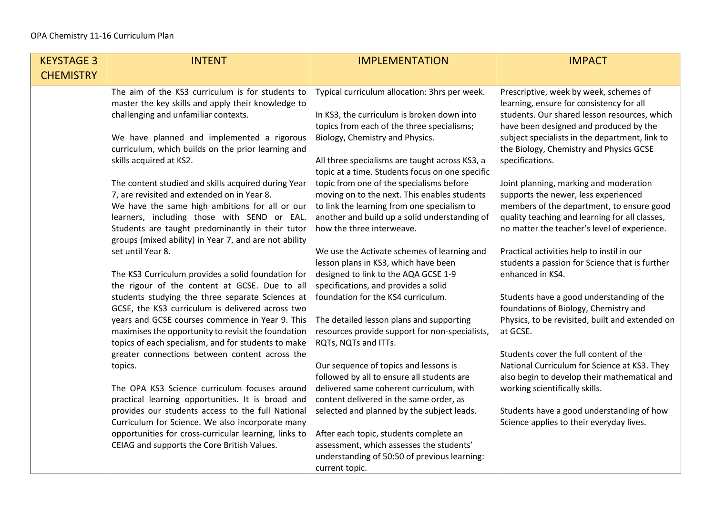| <b>KEYSTAGE 3</b> | <b>INTENT</b>                                                                                                                                                                                                                                                                                                                                                                                                                                                                                                                                                                                                                                                                                                                                                                                                                                                                                                                                                                                                                                                                                                                                                                                                                                                                                                                                                                              | <b>IMPLEMENTATION</b>                                                                                                                                                                                                                                                                                                                                                                                                                                                                                                                                                                                                                                                                                                                                                                                                                                                                                                                                                                                                                                                                                                                                                                                                             | <b>IMPACT</b>                                                                                                                                                                                                                                                                                                                                                                                                                                                                                                                                                                                                                                                                                                                                                                                                                                                                                                                                                                                                                                                               |
|-------------------|--------------------------------------------------------------------------------------------------------------------------------------------------------------------------------------------------------------------------------------------------------------------------------------------------------------------------------------------------------------------------------------------------------------------------------------------------------------------------------------------------------------------------------------------------------------------------------------------------------------------------------------------------------------------------------------------------------------------------------------------------------------------------------------------------------------------------------------------------------------------------------------------------------------------------------------------------------------------------------------------------------------------------------------------------------------------------------------------------------------------------------------------------------------------------------------------------------------------------------------------------------------------------------------------------------------------------------------------------------------------------------------------|-----------------------------------------------------------------------------------------------------------------------------------------------------------------------------------------------------------------------------------------------------------------------------------------------------------------------------------------------------------------------------------------------------------------------------------------------------------------------------------------------------------------------------------------------------------------------------------------------------------------------------------------------------------------------------------------------------------------------------------------------------------------------------------------------------------------------------------------------------------------------------------------------------------------------------------------------------------------------------------------------------------------------------------------------------------------------------------------------------------------------------------------------------------------------------------------------------------------------------------|-----------------------------------------------------------------------------------------------------------------------------------------------------------------------------------------------------------------------------------------------------------------------------------------------------------------------------------------------------------------------------------------------------------------------------------------------------------------------------------------------------------------------------------------------------------------------------------------------------------------------------------------------------------------------------------------------------------------------------------------------------------------------------------------------------------------------------------------------------------------------------------------------------------------------------------------------------------------------------------------------------------------------------------------------------------------------------|
| <b>CHEMISTRY</b>  |                                                                                                                                                                                                                                                                                                                                                                                                                                                                                                                                                                                                                                                                                                                                                                                                                                                                                                                                                                                                                                                                                                                                                                                                                                                                                                                                                                                            |                                                                                                                                                                                                                                                                                                                                                                                                                                                                                                                                                                                                                                                                                                                                                                                                                                                                                                                                                                                                                                                                                                                                                                                                                                   |                                                                                                                                                                                                                                                                                                                                                                                                                                                                                                                                                                                                                                                                                                                                                                                                                                                                                                                                                                                                                                                                             |
|                   | The aim of the KS3 curriculum is for students to<br>master the key skills and apply their knowledge to<br>challenging and unfamiliar contexts.<br>We have planned and implemented a rigorous<br>curriculum, which builds on the prior learning and<br>skills acquired at KS2.<br>The content studied and skills acquired during Year<br>7, are revisited and extended on in Year 8.<br>We have the same high ambitions for all or our<br>learners, including those with SEND or EAL.<br>Students are taught predominantly in their tutor<br>groups (mixed ability) in Year 7, and are not ability<br>set until Year 8.<br>The KS3 Curriculum provides a solid foundation for<br>the rigour of the content at GCSE. Due to all<br>students studying the three separate Sciences at<br>GCSE, the KS3 curriculum is delivered across two<br>years and GCSE courses commence in Year 9. This<br>maximises the opportunity to revisit the foundation<br>topics of each specialism, and for students to make<br>greater connections between content across the<br>topics.<br>The OPA KS3 Science curriculum focuses around<br>practical learning opportunities. It is broad and<br>provides our students access to the full National<br>Curriculum for Science. We also incorporate many<br>opportunities for cross-curricular learning, links to<br>CEIAG and supports the Core British Values. | Typical curriculum allocation: 3hrs per week.<br>In KS3, the curriculum is broken down into<br>topics from each of the three specialisms;<br>Biology, Chemistry and Physics.<br>All three specialisms are taught across KS3, a<br>topic at a time. Students focus on one specific<br>topic from one of the specialisms before<br>moving on to the next. This enables students<br>to link the learning from one specialism to<br>another and build up a solid understanding of<br>how the three interweave.<br>We use the Activate schemes of learning and<br>lesson plans in KS3, which have been<br>designed to link to the AQA GCSE 1-9<br>specifications, and provides a solid<br>foundation for the KS4 curriculum.<br>The detailed lesson plans and supporting<br>resources provide support for non-specialists,<br>RQTs, NQTs and ITTs.<br>Our sequence of topics and lessons is<br>followed by all to ensure all students are<br>delivered same coherent curriculum, with<br>content delivered in the same order, as<br>selected and planned by the subject leads.<br>After each topic, students complete an<br>assessment, which assesses the students'<br>understanding of 50:50 of previous learning:<br>current topic. | Prescriptive, week by week, schemes of<br>learning, ensure for consistency for all<br>students. Our shared lesson resources, which<br>have been designed and produced by the<br>subject specialists in the department, link to<br>the Biology, Chemistry and Physics GCSE<br>specifications.<br>Joint planning, marking and moderation<br>supports the newer, less experienced<br>members of the department, to ensure good<br>quality teaching and learning for all classes,<br>no matter the teacher's level of experience.<br>Practical activities help to instil in our<br>students a passion for Science that is further<br>enhanced in KS4.<br>Students have a good understanding of the<br>foundations of Biology, Chemistry and<br>Physics, to be revisited, built and extended on<br>at GCSE.<br>Students cover the full content of the<br>National Curriculum for Science at KS3. They<br>also begin to develop their mathematical and<br>working scientifically skills.<br>Students have a good understanding of how<br>Science applies to their everyday lives. |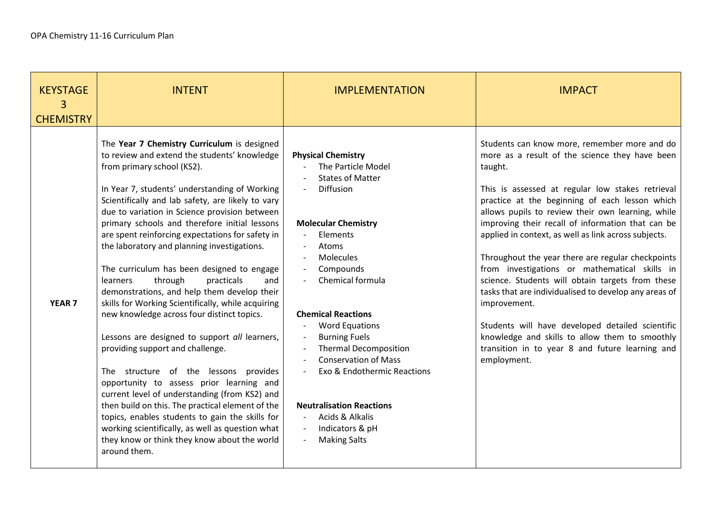| <b>KEYSTAGE</b><br>3<br><b>CHEMISTRY</b> | <b>INTENT</b>                                                                                                                                                                                                                                                                                                                                                                                                                                                                                                                                                                                                                                                                                                                                                                                                                                                                                                                                                                                                                                                                                                                           | <b>IMPLEMENTATION</b>                                                                                                                                                                                                                                                                                                                                                                                                                                                       | <b>IMPACT</b>                                                                                                                                                                                                                                                                                                                                                                                                                                                                                                                                                                                                                                                                                                                                                                                |
|------------------------------------------|-----------------------------------------------------------------------------------------------------------------------------------------------------------------------------------------------------------------------------------------------------------------------------------------------------------------------------------------------------------------------------------------------------------------------------------------------------------------------------------------------------------------------------------------------------------------------------------------------------------------------------------------------------------------------------------------------------------------------------------------------------------------------------------------------------------------------------------------------------------------------------------------------------------------------------------------------------------------------------------------------------------------------------------------------------------------------------------------------------------------------------------------|-----------------------------------------------------------------------------------------------------------------------------------------------------------------------------------------------------------------------------------------------------------------------------------------------------------------------------------------------------------------------------------------------------------------------------------------------------------------------------|----------------------------------------------------------------------------------------------------------------------------------------------------------------------------------------------------------------------------------------------------------------------------------------------------------------------------------------------------------------------------------------------------------------------------------------------------------------------------------------------------------------------------------------------------------------------------------------------------------------------------------------------------------------------------------------------------------------------------------------------------------------------------------------------|
| <b>YEAR 7</b>                            | The Year 7 Chemistry Curriculum is designed<br>to review and extend the students' knowledge<br>from primary school (KS2).<br>In Year 7, students' understanding of Working<br>Scientifically and lab safety, are likely to vary<br>due to variation in Science provision between<br>primary schools and therefore initial lessons<br>are spent reinforcing expectations for safety in<br>the laboratory and planning investigations.<br>The curriculum has been designed to engage<br>through<br>practicals<br>and<br>learners<br>demonstrations, and help them develop their<br>skills for Working Scientifically, while acquiring<br>new knowledge across four distinct topics.<br>Lessons are designed to support all learners,<br>providing support and challenge.<br>The structure of the lessons provides<br>opportunity to assess prior learning and<br>current level of understanding (from KS2) and<br>then build on this. The practical element of the<br>topics, enables students to gain the skills for<br>working scientifically, as well as question what<br>they know or think they know about the world<br>around them. | <b>Physical Chemistry</b><br>The Particle Model<br><b>States of Matter</b><br><b>Diffusion</b><br><b>Molecular Chemistry</b><br>Elements<br>Atoms<br>Molecules<br>Compounds<br>Chemical formula<br><b>Chemical Reactions</b><br><b>Word Equations</b><br><b>Burning Fuels</b><br><b>Thermal Decomposition</b><br><b>Conservation of Mass</b><br>Exo & Endothermic Reactions<br><b>Neutralisation Reactions</b><br>Acids & Alkalis<br>Indicators & pH<br><b>Making Salts</b> | Students can know more, remember more and do<br>more as a result of the science they have been<br>taught.<br>This is assessed at regular low stakes retrieval<br>practice at the beginning of each lesson which<br>allows pupils to review their own learning, while<br>improving their recall of information that can be<br>applied in context, as well as link across subjects.<br>Throughout the year there are regular checkpoints<br>from investigations or mathematical skills in<br>science. Students will obtain targets from these<br>tasks that are individualised to develop any areas of<br>improvement.<br>Students will have developed detailed scientific<br>knowledge and skills to allow them to smoothly<br>transition in to year 8 and future learning and<br>employment. |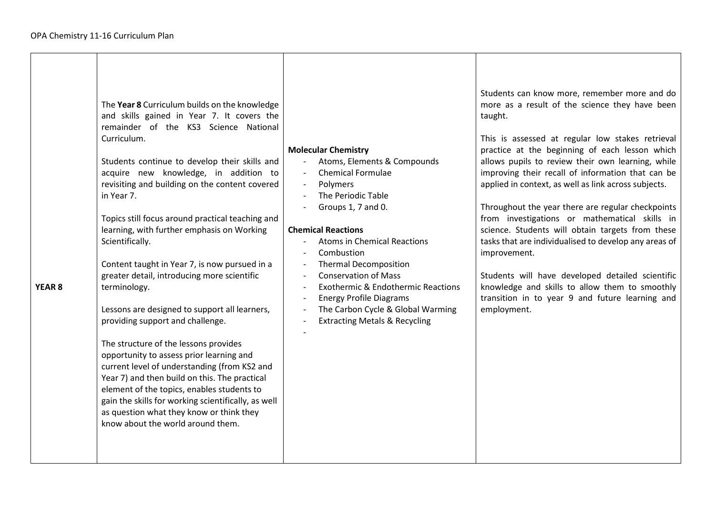| The Year 8 Curriculum builds on the knowledge<br>and skills gained in Year 7. It covers the<br>remainder of the KS3 Science National<br>Curriculum.<br>Students continue to develop their skills and<br>acquire new knowledge, in addition to<br>revisiting and building on the content covered<br>in Year 7.<br>Topics still focus around practical teaching and<br>learning, with further emphasis on Working<br>Scientifically.<br>Content taught in Year 7, is now pursued in a<br>greater detail, introducing more scientific<br>YEAR <sub>8</sub><br>terminology.<br>Lessons are designed to support all learners,<br>providing support and challenge.<br>The structure of the lessons provides<br>opportunity to assess prior learning and<br>current level of understanding (from KS2 and<br>Year 7) and then build on this. The practical<br>element of the topics, enables students to<br>gain the skills for working scientifically, as well<br>as question what they know or think they<br>know about the world around them. | <b>Molecular Chemistry</b><br>Atoms, Elements & Compounds<br><b>Chemical Formulae</b><br>Polymers<br>The Periodic Table<br>Groups 1, 7 and 0.<br><b>Chemical Reactions</b><br><b>Atoms in Chemical Reactions</b><br>Combustion<br><b>Thermal Decomposition</b><br><b>Conservation of Mass</b><br><b>Exothermic &amp; Endothermic Reactions</b><br><b>Energy Profile Diagrams</b><br>The Carbon Cycle & Global Warming<br><b>Extracting Metals &amp; Recycling</b> | Students can know more, remember more and do<br>more as a result of the science they have been<br>taught.<br>This is assessed at regular low stakes retrieval<br>practice at the beginning of each lesson which<br>allows pupils to review their own learning, while<br>improving their recall of information that can be<br>applied in context, as well as link across subjects.<br>Throughout the year there are regular checkpoints<br>from investigations or mathematical skills in<br>science. Students will obtain targets from these<br>tasks that are individualised to develop any areas of<br>improvement.<br>Students will have developed detailed scientific<br>knowledge and skills to allow them to smoothly<br>transition in to year 9 and future learning and<br>employment. |
|------------------------------------------------------------------------------------------------------------------------------------------------------------------------------------------------------------------------------------------------------------------------------------------------------------------------------------------------------------------------------------------------------------------------------------------------------------------------------------------------------------------------------------------------------------------------------------------------------------------------------------------------------------------------------------------------------------------------------------------------------------------------------------------------------------------------------------------------------------------------------------------------------------------------------------------------------------------------------------------------------------------------------------------|-------------------------------------------------------------------------------------------------------------------------------------------------------------------------------------------------------------------------------------------------------------------------------------------------------------------------------------------------------------------------------------------------------------------------------------------------------------------|----------------------------------------------------------------------------------------------------------------------------------------------------------------------------------------------------------------------------------------------------------------------------------------------------------------------------------------------------------------------------------------------------------------------------------------------------------------------------------------------------------------------------------------------------------------------------------------------------------------------------------------------------------------------------------------------------------------------------------------------------------------------------------------------|
|------------------------------------------------------------------------------------------------------------------------------------------------------------------------------------------------------------------------------------------------------------------------------------------------------------------------------------------------------------------------------------------------------------------------------------------------------------------------------------------------------------------------------------------------------------------------------------------------------------------------------------------------------------------------------------------------------------------------------------------------------------------------------------------------------------------------------------------------------------------------------------------------------------------------------------------------------------------------------------------------------------------------------------------|-------------------------------------------------------------------------------------------------------------------------------------------------------------------------------------------------------------------------------------------------------------------------------------------------------------------------------------------------------------------------------------------------------------------------------------------------------------------|----------------------------------------------------------------------------------------------------------------------------------------------------------------------------------------------------------------------------------------------------------------------------------------------------------------------------------------------------------------------------------------------------------------------------------------------------------------------------------------------------------------------------------------------------------------------------------------------------------------------------------------------------------------------------------------------------------------------------------------------------------------------------------------------|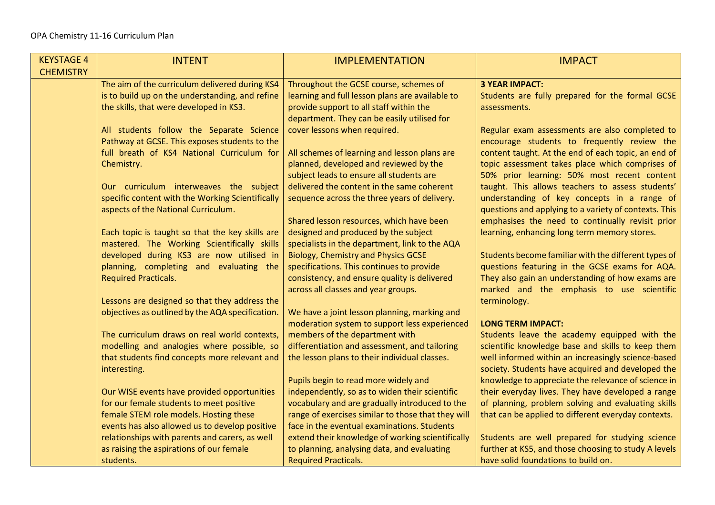| <b>KEYSTAGE 4</b> | <b>INTENT</b>                                            | <b>IMPLEMENTATION</b>                                                                         | <b>IMPACT</b>                                                                                          |
|-------------------|----------------------------------------------------------|-----------------------------------------------------------------------------------------------|--------------------------------------------------------------------------------------------------------|
| <b>CHEMISTRY</b>  |                                                          |                                                                                               |                                                                                                        |
|                   | The aim of the curriculum delivered during KS4           | Throughout the GCSE course, schemes of                                                        | <b>3 YEAR IMPACT:</b>                                                                                  |
|                   | is to build up on the understanding, and refine          | learning and full lesson plans are available to                                               | Students are fully prepared for the formal GCSE                                                        |
|                   | the skills, that were developed in KS3.                  | provide support to all staff within the                                                       | assessments.                                                                                           |
|                   |                                                          | department. They can be easily utilised for                                                   |                                                                                                        |
|                   | All students follow the Separate Science                 | cover lessons when required.                                                                  | Regular exam assessments are also completed to                                                         |
|                   | Pathway at GCSE. This exposes students to the            |                                                                                               | encourage students to frequently review the                                                            |
|                   | full breath of KS4 National Curriculum for<br>Chemistry. | All schemes of learning and lesson plans are<br>planned, developed and reviewed by the        | content taught. At the end of each topic, an end of<br>topic assessment takes place which comprises of |
|                   |                                                          | subject leads to ensure all students are                                                      | 50% prior learning: 50% most recent content                                                            |
|                   | Our curriculum interweaves the subject                   | delivered the content in the same coherent                                                    | taught. This allows teachers to assess students'                                                       |
|                   | specific content with the Working Scientifically         | sequence across the three years of delivery.                                                  | understanding of key concepts in a range of                                                            |
|                   | aspects of the National Curriculum.                      |                                                                                               | questions and applying to a variety of contexts. This                                                  |
|                   |                                                          | Shared lesson resources, which have been                                                      | emphasises the need to continually revisit prior                                                       |
|                   | Each topic is taught so that the key skills are          | designed and produced by the subject                                                          | learning, enhancing long term memory stores.                                                           |
|                   | mastered. The Working Scientifically skills              | specialists in the department, link to the AQA                                                |                                                                                                        |
|                   | developed during KS3 are now utilised in                 | <b>Biology, Chemistry and Physics GCSE</b>                                                    | Students become familiar with the different types of                                                   |
|                   | planning, completing and evaluating the                  | specifications. This continues to provide                                                     | questions featuring in the GCSE exams for AQA.                                                         |
|                   | <b>Required Practicals.</b>                              | consistency, and ensure quality is delivered                                                  | They also gain an understanding of how exams are                                                       |
|                   |                                                          | across all classes and year groups.                                                           | marked and the emphasis to use scientific                                                              |
|                   | Lessons are designed so that they address the            |                                                                                               | terminology.                                                                                           |
|                   | objectives as outlined by the AQA specification.         | We have a joint lesson planning, marking and<br>moderation system to support less experienced | <b>LONG TERM IMPACT:</b>                                                                               |
|                   | The curriculum draws on real world contexts,             | members of the department with                                                                | Students leave the academy equipped with the                                                           |
|                   | modelling and analogies where possible, so               | differentiation and assessment, and tailoring                                                 | scientific knowledge base and skills to keep them                                                      |
|                   | that students find concepts more relevant and            | the lesson plans to their individual classes.                                                 | well informed within an increasingly science-based                                                     |
|                   | interesting.                                             |                                                                                               | society. Students have acquired and developed the                                                      |
|                   |                                                          | Pupils begin to read more widely and                                                          | knowledge to appreciate the relevance of science in                                                    |
|                   | Our WISE events have provided opportunities              | independently, so as to widen their scientific                                                | their everyday lives. They have developed a range                                                      |
|                   | for our female students to meet positive                 | vocabulary and are gradually introduced to the                                                | of planning, problem solving and evaluating skills                                                     |
|                   | female STEM role models. Hosting these                   | range of exercises similar to those that they will                                            | that can be applied to different everyday contexts.                                                    |
|                   | events has also allowed us to develop positive           | face in the eventual examinations. Students                                                   |                                                                                                        |
|                   | relationships with parents and carers, as well           | extend their knowledge of working scientifically                                              | Students are well prepared for studying science                                                        |
|                   | as raising the aspirations of our female                 | to planning, analysing data, and evaluating                                                   | further at KS5, and those choosing to study A levels                                                   |
|                   | students.                                                | <b>Required Practicals.</b>                                                                   | have solid foundations to build on.                                                                    |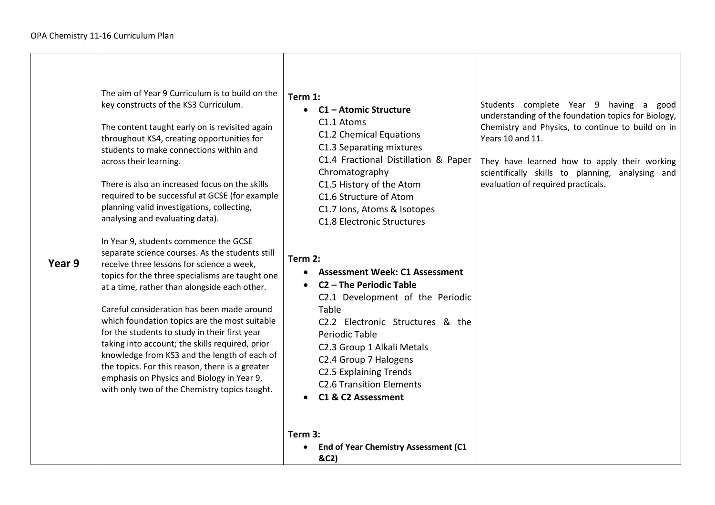|        | The aim of Year 9 Curriculum is to build on the<br>key constructs of the KS3 Curriculum.<br>The content taught early on is revisited again<br>throughout KS4, creating opportunities for<br>students to make connections within and<br>across their learning.<br>There is also an increased focus on the skills<br>required to be successful at GCSE (for example<br>planning valid investigations, collecting,<br>analysing and evaluating data).                                                                                                                                                                                            | Term 1:<br>C1 - Atomic Structure<br>$\bullet$<br>C1.1 Atoms<br>C1.2 Chemical Equations<br>C1.3 Separating mixtures<br>C1.4 Fractional Distillation & Paper<br>Chromatography<br>C1.5 History of the Atom<br>C1.6 Structure of Atom<br>C1.7 Ions, Atoms & Isotopes<br><b>C1.8 Electronic Structures</b>                                      | Students complete Year 9 having a good<br>understanding of the foundation topics for Biology,<br>Chemistry and Physics, to continue to build on in<br>Years 10 and 11.<br>They have learned how to apply their working<br>scientifically skills to planning, analysing and<br>evaluation of required practicals. |
|--------|-----------------------------------------------------------------------------------------------------------------------------------------------------------------------------------------------------------------------------------------------------------------------------------------------------------------------------------------------------------------------------------------------------------------------------------------------------------------------------------------------------------------------------------------------------------------------------------------------------------------------------------------------|---------------------------------------------------------------------------------------------------------------------------------------------------------------------------------------------------------------------------------------------------------------------------------------------------------------------------------------------|------------------------------------------------------------------------------------------------------------------------------------------------------------------------------------------------------------------------------------------------------------------------------------------------------------------|
| Year 9 | In Year 9, students commence the GCSE<br>separate science courses. As the students still<br>receive three lessons for science a week,<br>topics for the three specialisms are taught one<br>at a time, rather than alongside each other.<br>Careful consideration has been made around<br>which foundation topics are the most suitable<br>for the students to study in their first year<br>taking into account; the skills required, prior<br>knowledge from KS3 and the length of each of<br>the topics. For this reason, there is a greater<br>emphasis on Physics and Biology in Year 9,<br>with only two of the Chemistry topics taught. | Term 2:<br><b>Assessment Week: C1 Assessment</b><br>C <sub>2</sub> - The Periodic Table<br>C2.1 Development of the Periodic<br>Table<br>C2.2 Electronic Structures & the<br>Periodic Table<br>C2.3 Group 1 Alkali Metals<br>C2.4 Group 7 Halogens<br><b>C2.5 Explaining Trends</b><br><b>C2.6 Transition Elements</b><br>C1 & C2 Assessment |                                                                                                                                                                                                                                                                                                                  |
|        |                                                                                                                                                                                                                                                                                                                                                                                                                                                                                                                                                                                                                                               | Term 3:<br>End of Year Chemistry Assessment (C1<br>&C2)                                                                                                                                                                                                                                                                                     |                                                                                                                                                                                                                                                                                                                  |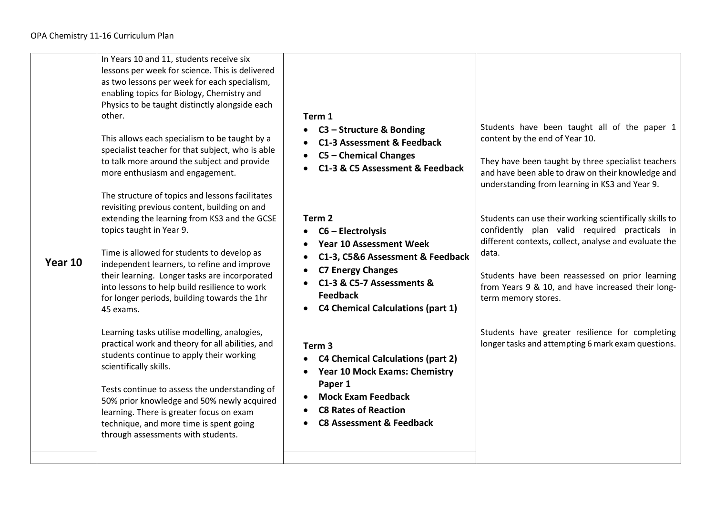|         | In Years 10 and 11, students receive six<br>lessons per week for science. This is delivered<br>as two lessons per week for each specialism,<br>enabling topics for Biology, Chemistry and<br>Physics to be taught distinctly alongside each<br>other.<br>This allows each specialism to be taught by a<br>specialist teacher for that subject, who is able<br>to talk more around the subject and provide<br>more enthusiasm and engagement.<br>The structure of topics and lessons facilitates | Term 1<br>C3 – Structure & Bonding<br>C1-3 Assessment & Feedback<br>• C5 - Chemical Changes<br>C1-3 & C5 Assessment & Feedback                                                                                                                      | Students have been taught all of the paper 1<br>content by the end of Year 10.<br>They have been taught by three specialist teachers<br>and have been able to draw on their knowledge and<br>understanding from learning in KS3 and Year 9.                                                               |
|---------|-------------------------------------------------------------------------------------------------------------------------------------------------------------------------------------------------------------------------------------------------------------------------------------------------------------------------------------------------------------------------------------------------------------------------------------------------------------------------------------------------|-----------------------------------------------------------------------------------------------------------------------------------------------------------------------------------------------------------------------------------------------------|-----------------------------------------------------------------------------------------------------------------------------------------------------------------------------------------------------------------------------------------------------------------------------------------------------------|
| Year 10 | revisiting previous content, building on and<br>extending the learning from KS3 and the GCSE<br>topics taught in Year 9.<br>Time is allowed for students to develop as<br>independent learners, to refine and improve<br>their learning. Longer tasks are incorporated<br>into lessons to help build resilience to work<br>for longer periods, building towards the 1hr<br>45 exams.                                                                                                            | Term <sub>2</sub><br>$C6$ – Electrolysis<br>$\bullet$<br><b>Year 10 Assessment Week</b><br>C1-3, C5&6 Assessment & Feedback<br><b>C7 Energy Changes</b><br>C1-3 & C5-7 Assessments &<br><b>Feedback</b><br><b>C4 Chemical Calculations (part 1)</b> | Students can use their working scientifically skills to<br>confidently plan valid required practicals in<br>different contexts, collect, analyse and evaluate the<br>data.<br>Students have been reassessed on prior learning<br>from Years 9 & 10, and have increased their long-<br>term memory stores. |
|         | Learning tasks utilise modelling, analogies,<br>practical work and theory for all abilities, and<br>students continue to apply their working<br>scientifically skills.<br>Tests continue to assess the understanding of<br>50% prior knowledge and 50% newly acquired<br>learning. There is greater focus on exam<br>technique, and more time is spent going<br>through assessments with students.                                                                                              | Term <sub>3</sub><br><b>C4 Chemical Calculations (part 2)</b><br><b>Year 10 Mock Exams: Chemistry</b><br>Paper 1<br><b>Mock Exam Feedback</b><br><b>C8 Rates of Reaction</b><br><b>C8 Assessment &amp; Feedback</b>                                 | Students have greater resilience for completing<br>longer tasks and attempting 6 mark exam questions.                                                                                                                                                                                                     |